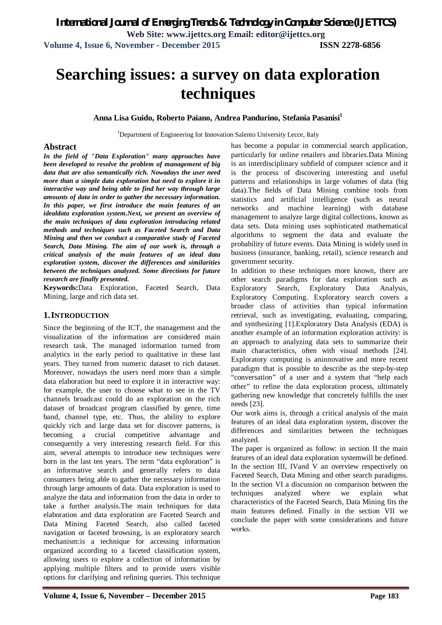# **Searching issues: a survey on data exploration techniques**

**Anna Lisa Guido, Roberto Paiano, Andrea Pandurino, Stefania Pasanisi<sup>1</sup>**

<sup>1</sup>Department of Engineering for Innovation Salento University Lecce, Italy

#### **Abstract**

*In the field of "Data Exploration" many approaches have been developed to resolve the problem of management of big data that are also semantically rich. Nowadays the user need more than a simple data exploration but need to explore it in interactive way and being able to find her way through large amounts of data in order to gather the necessary information. In this paper, we first introduce the main features of an idealdata exploration system.Next, we present an overview of the main techniques of data exploration introducing related methods and techniques such as Faceted Search and Data Mining and then we conduct a comparative study of Faceted Search, Data Mining. The aim of our work is, through a critical analysis of the main features of an ideal data exploration system, discover the differences and similarities between the techniques analyzed. Some directions for future research are finally presented.*

**Keywords:**Data Exploration, Faceted Search, Data Mining, large and rich data set.

#### **1.INTRODUCTION**

Since the beginning of the ICT, the management and the visualization of the information are considered main research task. The managed information turned from analytics in the early period to qualitative in these last years. They turned from numeric dataset to rich dataset. Moreover, nowadays the users need more than a simple data elaboration but need to explore it in interactive way: for example, the user to choose what to see in the TV channels broadcast could do an exploration on the rich dataset of broadcast program classified by genre, time band, channel type, etc. Thus, the ability to explore quickly rich and large data set for discover patterns, is becoming a crucial competitive advantage and consequently a very interesting research field. For this aim, several attempts to introduce new techniques were born in the last ten years. The term "data exploration" is an informative search and generally refers to data consumers being able to gather the necessary information through large amounts of data. Data exploration is used to analyze the data and information from the data in order to take a further analysis.The main techniques for data elaboration and data exploration are Faceted Search and Data Mining. Faceted Search, also called faceted navigation or faceted browsing, is an exploratory search mechanism:is a technique for accessing information organized according to a faceted classification system, allowing users to explore a collection of information by applying multiple filters and to provide users visible options for clarifying and refining queries. This technique

has become a popular in commercial search application, particularly for online retailers and libraries.Data Mining is an interdisciplinary subfield of computer science and it is the process of discovering interesting and useful patterns and relationships in large volumes of data (big data).The fields of Data Mining combine tools from statistics and artificial intelligence (such as neural networks and machine learning) with database management to analyze large digital collections, known as data sets. Data mining uses sophisticated mathematical algorithms to segment the data and evaluate the probability of future events. Data Mining is widely used in business (insurance, banking, retail), science research and government security.

In addition to these techniques more known, there are other search paradigms for data exploration such as Exploratory Search, Exploratory Data Analysis, Exploratory Computing. Exploratory search covers a broader class of activities than typical information retrieval, such as investigating, evaluating, comparing, and synthesizing [1].Exploratory Data Analysis (EDA) is another example of an information exploration activity: is an approach to analyzing data sets to summarize their main characteristics, often with visual methods [24]. Exploratory computing is aninnovative and more recent paradigm that is possible to describe as the step-by-step "conversation" of a user and a system that "help each other" to refine the data exploration process, ultimately gathering new knowledge that concretely fulfills the user needs [23].

Our work aims is, through a critical analysis of the main features of an ideal data exploration system, discover the differences and similarities between the techniques analyzed.

The paper is organized as follow: in section II the main features of an ideal data exploration systemwill be defined. In the section III, IVand V an overview respectively on Faceted Search, Data Mining and other search paradigms. In the section VI a discussion on comparison between the techniques analyzed where we explain what characteristics of the Faceted Search, Data Mining fits the main features defined. Finally in the section VII we conclude the paper with some considerations and future works.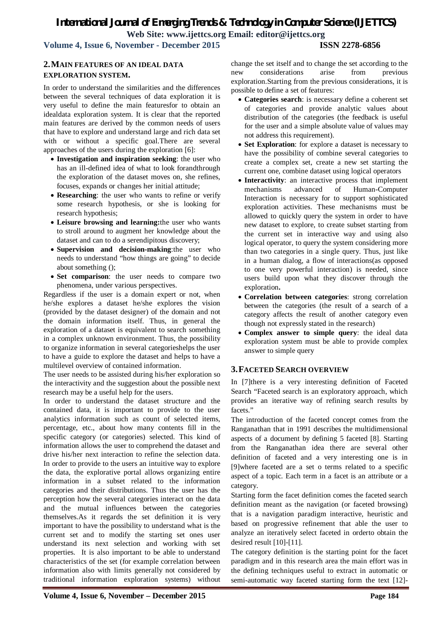### *International Journal of Emerging Trends & Technology in Computer Science (IJETTCS)* **Web Site: www.ijettcs.org Email: editor@ijettcs.org Volume 4, Issue 6, November - December 2015 ISSN 2278-6856**

### **2.MAIN FEATURES OF AN IDEAL DATA EXPLORATION SYSTEM.**

In order to understand the similarities and the differences between the several techniques of data exploration it is very useful to define the main featuresfor to obtain an idealdata exploration system. It is clear that the reported main features are derived by the common needs of users that have to explore and understand large and rich data set with or without a specific goal.There are several approaches of the users during the exploration [6]:

- **Investigation and inspiration seeking**: the user who has an ill-defined idea of what to look forandthrough the exploration of the dataset moves on, she refines, focuses, expands or changes her initial attitude;
- **Researching**: the user who wants to refine or verify some research hypothesis, or she is looking for research hypothesis;
- **Leisure browsing and learning:**the user who wants to stroll around to augment her knowledge about the dataset and can to do a serendipitous discovery;
- **Supervision and decision-making**:the user who needs to understand "how things are going" to decide about something ();
- **Set comparison**: the user needs to compare two phenomena, under various perspectives.

Regardless if the user is a domain expert or not, when he/she explores a dataset he/she explores the vision (provided by the dataset designer) of the domain and not the domain information itself. Thus, in general the exploration of a dataset is equivalent to search something in a complex unknown environment. Thus, the possibility to organize information in several categorieshelps the user to have a guide to explore the dataset and helps to have a multilevel overview of contained information.

The user needs to be assisted during his/her exploration so the interactivity and the suggestion about the possible next research may be a useful help for the users.

In order to understand the dataset structure and the contained data, it is important to provide to the user analytics information such as count of selected items, percentage, etc., about how many contents fill in the specific category (or categories) selected. This kind of information allows the user to comprehend the dataset and drive his/her next interaction to refine the selection data. In order to provide to the users an intuitive way to explore the data, the explorative portal allows organizing entire information in a subset related to the information categories and their distributions. Thus the user has the perception how the several categories interact on the data and the mutual influences between the categories themselves.As it regards the set definition it is very important to have the possibility to understand what is the current set and to modify the starting set ones user understand its next selection and working with set properties. It is also important to be able to understand characteristics of the set (for example correlation between information also with limits generally not considered by traditional information exploration systems) without

change the set itself and to change the set according to the new considerations arise from previous exploration.Starting from the previous considerations, it is possible to define a set of features:

- **Categories search**: is necessary define a coherent set of categories and provide analytic values about distribution of the categories (the feedback is useful for the user and a simple absolute value of values may not address this requirement).
- **Set Exploration**: for explore a dataset is necessary to have the possibility of combine several categories to create a complex set, create a new set starting the current one, combine dataset using logical operators
- **Interactivity**: an interactive process that implement mechanisms advanced of Human-Computer Interaction is necessary for to support sophisticated exploration activities. These mechanisms must be allowed to quickly query the system in order to have new dataset to explore, to create subset starting from the current set in interactive way and using also logical operator, to query the system considering more than two categories in a single query. Thus, just like in a human dialog, a flow of interactions(as opposed to one very powerful interaction) is needed, since users build upon what they discover through the exploration**.**
- **Correlation between categories**: strong correlation between the categories (the result of a search of a category affects the result of another category even though not expressly stated in the research)
- **Complex answer to simple query**: the ideal data exploration system must be able to provide complex answer to simple query

### **3.FACETED SEARCH OVERVIEW**

In [7]there is a very interesting definition of Faceted Search "Faceted search is an exploratory approach, which provides an iterative way of refining search results by facets."

The introduction of the faceted concept comes from the Ranganathan that in 1991 describes the multidimensional aspects of a document by defining 5 faceted [8]. Starting from the Ranganathan idea there are several other definition of faceted and a very interesting one is in [9]where faceted are a set o terms related to a specific aspect of a topic. Each term in a facet is an attribute or a category.

Starting form the facet definition comes the faceted search definition meant as the navigation (or faceted browsing) that is a navigation paradigm interactive, heuristic and based on progressive refinement that able the user to analyze an iteratively select faceted in orderto obtain the desired result [10]-[11].

The category definition is the starting point for the facet paradigm and in this research area the main effort was in the defining techniques useful to extract in automatic or semi-automatic way faceted starting form the text [12]-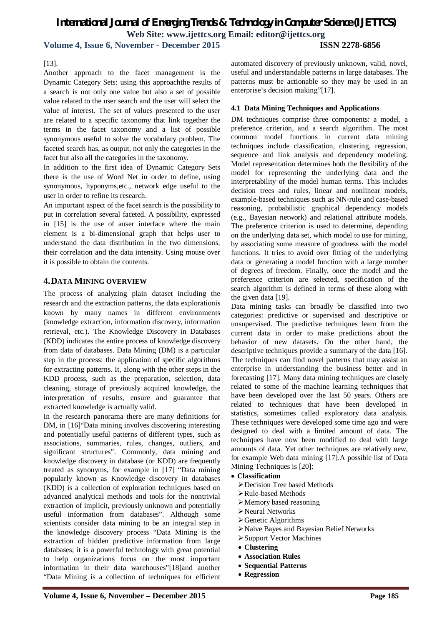### **Volume 4, Issue 6, November - December 2015 ISSN 2278-6856**

#### [13].

Another approach to the facet management is the Dynamic Category Sets: using this approachthe results of a search is not only one value but also a set of possible value related to the user search and the user will select the value of interest. The set of values presented to the user are related to a specific taxonomy that link together the terms in the facet taxonomy and a list of possible synonymous useful to solve the vocabulary problem. The faceted search has, as output, not only the categories in the facet but also all the categories in the taxonomy.

In addition to the first idea of Dynamic Category Sets there is the use of Word Net in order to define, using synonymous, hyponyms,etc., network edge useful to the user in order to refine its research.

An important aspect of the facet search is the possibility to put in correlation several faceted. A possibility, expressed in [15] is the use of auser interface where the main element is a bi-dimensional graph that helps user to understand the data distribution in the two dimensions, their correlation and the data intensity. Using mouse over it is possible to obtain the contents.

#### **4.DATA MINING OVERVIEW**

The process of analyzing plain dataset including the research and the extraction patterns, the data explorationis known by many names in different environments (knowledge extraction, information discovery, information retrieval, etc.). The Knowledge Discovery in Databases (KDD) indicates the entire process of knowledge discovery from data of databases. Data Mining (DM) is a particular step in the process: the application of specific algorithms for extracting patterns. It, along with the other steps in the KDD process, such as the preparation, selection, data cleaning, storage of previously acquired knowledge, the interpretation of results, ensure and guarantee that extracted knowledge is actually valid.

In the research panorama there are many definitions for DM, in [16]"Data mining involves discovering interesting and potentially useful patterns of different types, such as associations, summaries, rules, changes, outliers, and significant structures". Commonly, data mining and knowledge discovery in database (or KDD) are frequently treated as synonyms, for example in [17] "Data mining popularly known as Knowledge discovery in databases (KDD) is a collection of exploration techniques based on advanced analytical methods and tools for the nontrivial extraction of implicit, previously unknown and potentially useful information from databases". Although some scientists consider data mining to be an integral step in the knowledge discovery process "Data Mining is the extraction of hidden predictive information from large databases; it is a powerful technology with great potential to help organizations focus on the most important information in their data warehouses"[18]and another "Data Mining is a collection of techniques for efficient

automated discovery of previously unknown, valid, novel, useful and understandable patterns in large databases. The patterns must be actionable so they may be used in an enterprise's decision making"[17].

#### **4.1 Data Mining Techniques and Applications**

DM techniques comprise three components: a model, a preference criterion, and a search algorithm. The most common model functions in current data mining techniques include classification, clustering, regression, sequence and link analysis and dependency modeling. Model representation determines both the flexibility of the model for representing the underlying data and the interpretability of the model human terms. This includes decision trees and rules, linear and nonlinear models, example-based techniques such as NN-rule and case-based reasoning, probabilistic graphical dependency models (e.g., Bayesian network) and relational attribute models. The preference criterion is used to determine, depending on the underlying data set, which model to use for mining, by associating some measure of goodness with the model functions. It tries to avoid over fitting of the underlying data or generating a model function with a large number of degrees of freedom. Finally, once the model and the preference criterion are selected, specification of the search algorithm is defined in terms of these along with the given data [19].

Data mining tasks can broadly be classified into two categories: predictive or supervised and descriptive or unsupervised. The predictive techniques learn from the current data in order to make predictions about the behavior of new datasets. On the other hand, the descriptive techniques provide a summary of the data [16]. The techniques can find novel patterns that may assist an enterprise in understanding the business better and in forecasting [17]. Many data mining techniques are closely related to some of the machine learning techniques that have been developed over the last 50 years. Others are related to techniques that have been developed in statistics, sometimes called exploratory data analysis. These techniques were developed some time ago and were designed to deal with a limited amount of data. The techniques have now been modified to deal with large amounts of data. Yet other techniques are relatively new, for example Web data mining [17].A possible list of Data Mining Techniques is [20]:

#### **Classification**

- Decision Tree based Methods
- Rule-based Methods
- Memory based reasoning
- Neural Networks
- $\triangleright$  Genetic Algorithms
- Naïve Bayes and Bayesian Belief Networks
- Support Vector Machines
- **Clustering**
- **Association Rules**
- **Sequential Patterns**
- **Regression**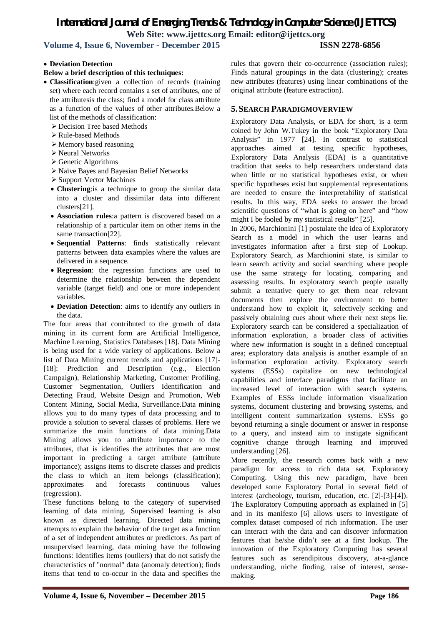**Volume 4, Issue 6, November - December 2015 ISSN 2278-6856**

**Deviation Detection** 

#### **Below a brief description of this techniques:**

- **Classification**:given a collection of records (training set) where each record contains a set of attributes, one of the attributesis the class; find a model for class attribute as a function of the values of other attributes.Below a list of the methods of classification:
	- Decision Tree based Methods
	- Rule-based Methods
	- Memory based reasoning
	- Neural Networks
	- $\triangleright$  Genetic Algorithms
	- Naïve Bayes and Bayesian Belief Networks
	- **≻ Support Vector Machines**
	- **Clustering**:is a technique to group the similar data into a cluster and dissimilar data into different clusters[21].
	- **Association rules**:a pattern is discovered based on a relationship of a particular item on other items in the same transaction[22].
	- **Sequential Patterns**: finds statistically relevant patterns between data examples where the values are delivered in a sequence.
	- **Regression**: the regression functions are used to determine the relationship between the dependent variable (target field) and one or more independent variables.
	- **Deviation Detection**: aims to identify any outliers in the data.

The four areas that contributed to the growth of data mining in its current form are Artificial Intelligence, Machine Learning, Statistics Databases [18]. Data Mining is being used for a wide variety of applications. Below a list of Data Mining current trends and applications [17]- [18]: Prediction and Description (e.g., Election Campaign), Relationship Marketing, Customer Profiling, Customer Segmentation, Outliers Identification and Detecting Fraud, Website Design and Promotion, Web Content Mining, Social Media, Surveillance.Data mining allows you to do many types of data processing and to provide a solution to several classes of problems. Here we summarize the main functions of data mining.Data Mining allows you to attribute importance to the attributes, that is identifies the attributes that are most important in predicting a target attribute (attribute importance); assigns items to discrete classes and predicts the class to which an item belongs (classification); approximates and forecasts continuous values (regression).

These functions belong to the category of supervised learning of data mining. Supervised learning is also known as directed learning. Directed data mining attempts to explain the behavior of the target as a function of a set of independent attributes or predictors. As part of unsupervised learning, data mining have the following functions: Identifies items (outliers) that do not satisfy the characteristics of "normal" data (anomaly detection); finds items that tend to co-occur in the data and specifies the

rules that govern their co-occurrence (association rules); Finds natural groupings in the data (clustering); creates new attributes (features) using linear combinations of the original attribute (feature extraction).

#### **5.SEARCH PARADIGMOVERVIEW**

Exploratory Data Analysis, or EDA for short, is a term coined by John W.Tukey in the book "Exploratory Data Analysis" in 1977 [24]. In contrast to statistical approaches aimed at testing specific hypotheses, Exploratory Data Analysis (EDA) is a quantitative tradition that seeks to help researchers understand data when little or no statistical hypotheses exist, or when specific hypotheses exist but supplemental representations are needed to ensure the interpretability of statistical results. In this way, EDA seeks to answer the broad scientific questions of "what is going on here" and "how might I be fooled by my statistical results" [25].

In 2006, Marchionini [1] postulate the idea of Exploratory Search as a model in which the user learns and investigates information after a first step of Lookup. Exploratory Search, as Marchionini state, is similar to learn search activity and social searching where people use the same strategy for locating, comparing and assessing results. In exploratory search people usually submit a tentative query to get them near relevant documents then explore the environment to better understand how to exploit it, selectively seeking and passively obtaining cues about where their next steps lie. Exploratory search can be considered a specialization of information exploration, a broader class of activities where new information is sought in a defined conceptual area; exploratory data analysis is another example of an information exploration activity. Exploratory search systems (ESSs) capitalize on new technological capabilities and interface paradigms that facilitate an increased level of interaction with search systems. Examples of ESSs include information visualization systems, document clustering and browsing systems, and intelligent content summarization systems. ESSs go beyond returning a single document or answer in response to a query, and instead aim to instigate significant cognitive change through learning and improved understanding [26].

More recently, the research comes back with a new paradigm for access to rich data set, Exploratory Computing. Using this new paradigm, have been developed some Exploratory Portal in several field of interest (archeology, tourism, education, etc. [2]-[3]-[4]). The Exploratory Computing approach as explained in [5] and in its manifesto [6] allows users to investigate of complex dataset composed of rich information. The user can interact with the data and can discover information features that he/she didn't see at a first lookup. The innovation of the Exploratory Computing has several features such as serendipitous discovery, at-a-glance understanding, niche finding, raise of interest, sensemaking.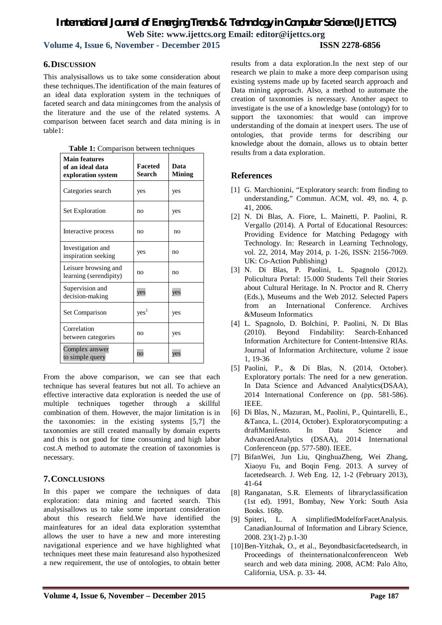**Volume 4, Issue 6, November - December 2015 ISSN 2278-6856**

### **6.DISCUSSION**

This analysisallows us to take some consideration about these techniques.The identification of the main features of an ideal data exploration system in the techniques of faceted search and data miningcomes from the analysis of the literature and the use of the related systems. A comparison between facet search and data mining is in table1:

| <b>Main features</b><br>of an ideal data<br>exploration system | Faceted<br>Search | Data<br><b>Mining</b> |
|----------------------------------------------------------------|-------------------|-----------------------|
| Categories search                                              | yes               | yes                   |
| Set Exploration                                                | no                | yes                   |
| Interactive process                                            | no                | no                    |
| Investigation and<br>inspiration seeking                       | yes               | no                    |
| Leisure browsing and<br>learning (serendipity)                 | no                | no                    |
| Supervision and<br>decision-making                             | yes               | yes                   |
| Set Comparison                                                 | yes <sup>1</sup>  | yes                   |
| Correlation<br>between categories                              | no                | yes                   |
| Complex answer<br>to simple query                              | no                | yes                   |

**Table 1:** Comparison between techniques

From the above comparison, we can see that each technique has several features but not all. To achieve an effective interactive data exploration is needed the use of multiple techniques together through a skillful combination of them. However, the major limitation is in the taxonomies: in the existing systems [5,7] the taxonomies are still created manually by domain experts and this is not good for time consuming and high labor cost.A method to automate the creation of taxonomies is necessary.

#### **7.CONCLUSIONS**

In this paper we compare the techniques of data exploration: data mining and faceted search. This analysisallows us to take some important consideration about this research field.We have identified the mainfeatures for an ideal data exploration systemthat allows the user to have a new and more interesting navigational experience and we have highlighted what techniques meet these main featuresand also hypothesized a new requirement, the use of ontologies, to obtain better

results from a data exploration.In the next step of our research we plain to make a more deep comparison using existing systems made up by faceted search approach and Data mining approach. Also, a method to automate the creation of taxonomies is necessary. Another aspect to investigate is the use of a knowledge base (ontology) for to support the taxonomies: that would can improve understanding of the domain at inexpert users. The use of ontologies, that provide terms for describing our knowledge about the domain, allows us to obtain better results from a data exploration.

### **References**

- [1] G. Marchionini, "Exploratory search: from finding to understanding," Commun. ACM, vol. 49, no. 4, p. 41, 2006.
- [2] N. Di Blas, A. Fiore, L. Mainetti, P. Paolini, R. Vergallo (2014). A Portal of Educational Resources: Providing Evidence for Matching Pedagogy with Technology. In: Research in Learning Technology, vol. 22, 2014, May 2014, p. 1-26, ISSN: 2156-7069. UK: Co-Action Publishing)
- [3] N. Di Blas, P. Paolini, L. Spagnolo (2012). Policultura Portal: 15.000 Students Tell their Stories about Cultural Heritage. In N. Proctor and R. Cherry (Eds.), Museums and the Web 2012. Selected Papers from an International Conference. Archives &Museum Informatics
- [4] L. Spagnolo, D. Bolchini, P. Paolini, N. Di Blas (2010). Beyond Findability: Search-Enhanced Information Architecture for Content-Intensive RIAs. Journal of Information Architecture, volume 2 issue 1, 19-36
- [5] Paolini, P., & Di Blas, N. (2014, October). Exploratory portals: The need for a new generation. In Data Science and Advanced Analytics(DSAA), 2014 International Conference on (pp. 581-586). IEEE.
- [6] Di Blas, N., Mazuran, M., Paolini, P., Quintarelli, E., &Tanca, L. (2014, October). Exploratorycomputing: a draftManifesto. In Data Science and AdvancedAnalytics (DSAA), 2014 International Conferenceon (pp. 577-580). IEEE.
- [7] BifanWei, Jun Liu, QinghuaZheng, Wei Zhang, Xiaoyu Fu, and Boqin Feng. 2013. A survey of facetedsearch. J. Web Eng. 12, 1-2 (February 2013), 41-64
- [8] Ranganatan, S.R. Elements of libraryclassification (1st ed). 1991, Bombay, New York: South Asia Books. 168p.
- [9] Spiteri, L. A simplifiedModelforFacetAnalysis. CanadianJournal of Information and Library Science, 2008. 23(1-2) p.1-30
- [10]Ben-Yitzhak, O., et al., Beyondbasicfacetedsearch, in Proceedings of theinternationalconferenceon Web search and web data mining. 2008, ACM: Palo Alto, California, USA. p. 33- 44.